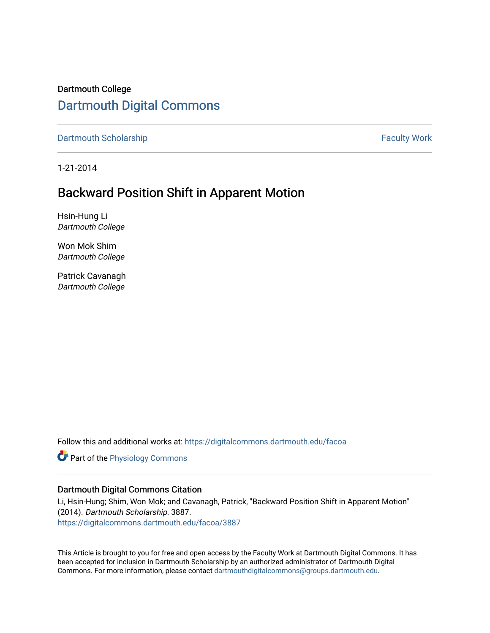# Dartmouth College [Dartmouth Digital Commons](https://digitalcommons.dartmouth.edu/)

[Dartmouth Scholarship](https://digitalcommons.dartmouth.edu/facoa) Faculty Work

1-21-2014

# Backward Position Shift in Apparent Motion

Hsin-Hung Li Dartmouth College

Won Mok Shim Dartmouth College

Patrick Cavanagh Dartmouth College

Follow this and additional works at: [https://digitalcommons.dartmouth.edu/facoa](https://digitalcommons.dartmouth.edu/facoa?utm_source=digitalcommons.dartmouth.edu%2Ffacoa%2F3887&utm_medium=PDF&utm_campaign=PDFCoverPages)

**Part of the [Physiology Commons](http://network.bepress.com/hgg/discipline/69?utm_source=digitalcommons.dartmouth.edu%2Ffacoa%2F3887&utm_medium=PDF&utm_campaign=PDFCoverPages)** 

#### Dartmouth Digital Commons Citation

Li, Hsin-Hung; Shim, Won Mok; and Cavanagh, Patrick, "Backward Position Shift in Apparent Motion" (2014). Dartmouth Scholarship. 3887. [https://digitalcommons.dartmouth.edu/facoa/3887](https://digitalcommons.dartmouth.edu/facoa/3887?utm_source=digitalcommons.dartmouth.edu%2Ffacoa%2F3887&utm_medium=PDF&utm_campaign=PDFCoverPages) 

This Article is brought to you for free and open access by the Faculty Work at Dartmouth Digital Commons. It has been accepted for inclusion in Dartmouth Scholarship by an authorized administrator of Dartmouth Digital Commons. For more information, please contact [dartmouthdigitalcommons@groups.dartmouth.edu](mailto:dartmouthdigitalcommons@groups.dartmouth.edu).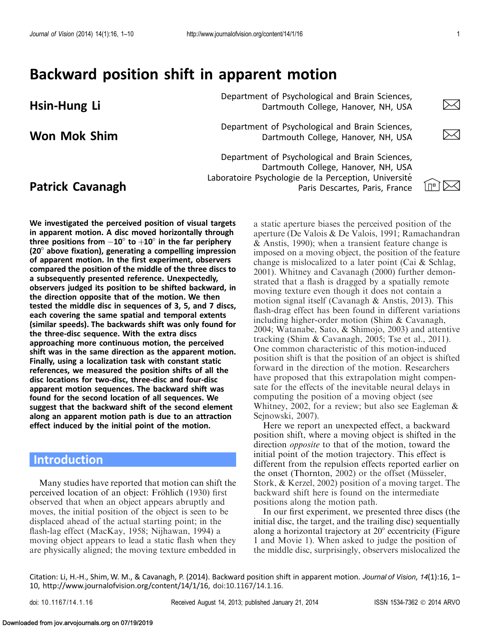# Backward position shift in apparent motion

Department of Psychological and Brain Sciences,<br>Dartmouth College, Hanover, NH, USA Dartmouth College, Hanover, NH, USA

Department of Psychological and Brain Sciences,<br>Dartmouth College, Hanover, NH. USA Dartmouth College, Hanover, NH, USA

**Patrick Cavanagh**  $\frac{1}{2}$   $\frac{1}{2}$   $\frac{1}{2}$   $\frac{1}{2}$   $\frac{1}{2}$   $\frac{1}{2}$   $\frac{1}{2}$   $\frac{1}{2}$   $\frac{1}{2}$   $\frac{1}{2}$   $\frac{1}{2}$   $\frac{1}{2}$   $\frac{1}{2}$   $\frac{1}{2}$   $\frac{1}{2}$   $\frac{1}{2}$   $\frac{1}{2}$   $\frac{1}{2}$   $\frac{1}{2}$   $\frac{1}{2}$   $\$ Department of Psychological and Brain Sciences, Dartmouth College, Hanover, NH, USA Laboratoire Psychologie de la Perception, Université Paris Descartes, Paris, France



We investigated the perceived position of visual targets in apparent motion. A disc moved horizontally through three positions from  $-{\bf 10}^\circ$  to  $+{\bf 10}^\circ$  in the far periphery  $(20^{\circ})$  above fixation), generating a compelling impression of apparent motion. In the first experiment, observers compared the position of the middle of the three discs to a subsequently presented reference. Unexpectedly, observers judged its position to be shifted backward, in the direction opposite that of the motion. We then tested the middle disc in sequences of 3, 5, and 7 discs, each covering the same spatial and temporal extents (similar speeds). The backwards shift was only found for the three-disc sequence. With the extra discs approaching more continuous motion, the perceived shift was in the same direction as the apparent motion. Finally, using a localization task with constant static references, we measured the position shifts of all the disc locations for two-disc, three-disc and four-disc apparent motion sequences. The backward shift was found for the second location of all sequences. We suggest that the backward shift of the second element along an apparent motion path is due to an attraction effect induced by the initial point of the motion.

## **Introduction**

Many studies have reported that motion can shift the perceived location of an object: Fröhlich ([1930\)](#page-9-0) first observed that when an object appears abruptly and moves, the initial position of the object is seen to be displaced ahead of the actual starting point; in the flash-lag effect (MacKay, [1958](#page-10-0); Nijhawan, [1994](#page-10-0)) a moving object appears to lead a static flash when they are physically aligned; the moving texture embedded in

a static aperture biases the perceived position of the aperture (De Valois & De Valois, [1991;](#page-9-0) Ramachandran & Anstis, [1990](#page-10-0)); when a transient feature change is imposed on a moving object, the position of the feature change is mislocalized to a later point (Cai & Schlag, [2001\)](#page-9-0). Whitney and Cavanagh [\(2000](#page-10-0)) further demonstrated that a flash is dragged by a spatially remote moving texture even though it does not contain a motion signal itself (Cavanagh & Anstis, [2013\)](#page-9-0). This flash-drag effect has been found in different variations including higher-order motion (Shim & Cavanagh, [2004;](#page-10-0) Watanabe, Sato, & Shimojo, [2003](#page-10-0)) and attentive tracking (Shim & Cavanagh, [2005;](#page-10-0) Tse et al., [2011](#page-10-0)). One common characteristic of this motion-induced position shift is that the position of an object is shifted forward in the direction of the motion. Researchers have proposed that this extrapolation might compensate for the effects of the inevitable neural delays in computing the position of a moving object (see Whitney, [2002](#page-10-0), for a review; but also see Eagleman & Sejnowski, [2007](#page-9-0)).

Here we report an unexpected effect, a backward position shift, where a moving object is shifted in the direction opposite to that of the motion, toward the initial point of the motion trajectory. This effect is different from the repulsion effects reported earlier on the onset (Thornton, [2002](#page-10-0)) or the offset (Müsseler, Stork, & Kerzel, [2002](#page-10-0)) position of a moving target. The backward shift here is found on the intermediate positions along the motion path.

In our first experiment, we presented three discs (the initial disc, the target, and the trailing disc) sequentially along a horizontal trajectory at  $20^{\circ}$  eccentricity [\(Figure](#page-2-0) [1](#page-2-0) and [Movie 1\)](#page-2-0). When asked to judge the position of the middle disc, surprisingly, observers mislocalized the

Citation: Li, H.-H., Shim, W. M., & Cavanagh, P. (2014). Backward position shift in apparent motion. Journal of Vision, 14(1):16, 1– 10, http://www.journalofvision.org/content/14/1/16, doi:10.1167/14.1.16.

Downloaded from jov.arvojournals.org on 07/19/2019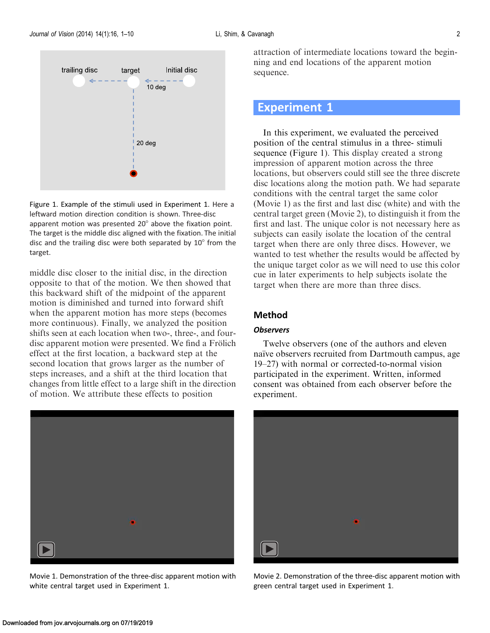<span id="page-2-0"></span>

Figure 1. Example of the stimuli used in Experiment 1. Here a leftward motion direction condition is shown. Three-disc apparent motion was presented  $20^\circ$  above the fixation point. The target is the middle disc aligned with the fixation. The initial disc and the trailing disc were both separated by  $10^{\circ}$  from the target.

middle disc closer to the initial disc, in the direction opposite to that of the motion. We then showed that this backward shift of the midpoint of the apparent motion is diminished and turned into forward shift when the apparent motion has more steps (becomes more continuous). Finally, we analyzed the position shifts seen at each location when two-, three-, and fourdisc apparent motion were presented. We find a Frölich effect at the first location, a backward step at the second location that grows larger as the number of steps increases, and a shift at the third location that changes from little effect to a large shift in the direction of motion. We attribute these effects to position



Movie 1. Demonstration of the three-disc apparent motion with white central target used in Experiment 1.

attraction of intermediate locations toward the beginning and end locations of the apparent motion sequence.

# Experiment 1

In this experiment, we evaluated the perceived position of the central stimulus in a three- stimuli sequence (Figure 1). This display created a strong impression of apparent motion across the three locations, but observers could still see the three discrete disc locations along the motion path. We had separate conditions with the central target the same color (Movie 1) as the first and last disc (white) and with the central target green (Movie 2), to distinguish it from the first and last. The unique color is not necessary here as subjects can easily isolate the location of the central target when there are only three discs. However, we wanted to test whether the results would be affected by the unique target color as we will need to use this color cue in later experiments to help subjects isolate the target when there are more than three discs.

#### Method

#### **Observers**

Twelve observers (one of the authors and eleven naïve observers recruited from Dartmouth campus, age 19–27) with normal or corrected-to-normal vision participated in the experiment. Written, informed consent was obtained from each observer before the experiment.



Movie 2. Demonstration of the three-disc apparent motion with green central target used in Experiment 1.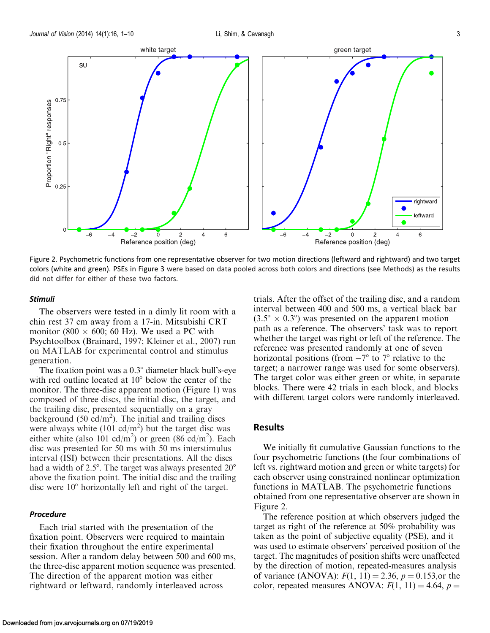

Figure 2. Psychometric functions from one representative observer for two motion directions (leftward and rightward) and two target colors (white and green). PSEs in [Figure 3](#page-4-0) were based on data pooled across both colors and directions (see Methods) as the results did not differ for either of these two factors.

#### Stimuli

The observers were tested in a dimly lit room with a chin rest 37 cm away from a 17-in. Mitsubishi CRT monitor (800  $\times$  600; 60 Hz). We used a PC with Psychtoolbox (Brainard, [1997;](#page-9-0) Kleiner et al., [2007\)](#page-10-0) run on MATLAB for experimental control and stimulus generation.

The fixation point was a  $0.3^\circ$  diameter black bull's-eye with red outline located at  $10^{\circ}$  below the center of the monitor. The three-disc apparent motion [\(Figure 1\)](#page-2-0) was composed of three discs, the initial disc, the target, and the trailing disc, presented sequentially on a gray background  $(50 \text{ cd/m}^2)$ . The initial and trailing discs were always white  $(101 \text{ cd/m}^2)$  but the target disc was either white (also 101 cd/m<sup>2</sup>) or green (86 cd/m<sup>2</sup>). Each disc was presented for 50 ms with 50 ms interstimulus interval (ISI) between their presentations. All the discs had a width of  $2.5^{\circ}$ . The target was always presented  $20^{\circ}$ above the fixation point. The initial disc and the trailing disc were  $10^{\circ}$  horizontally left and right of the target.

#### Procedure

Each trial started with the presentation of the fixation point. Observers were required to maintain their fixation throughout the entire experimental session. After a random delay between 500 and 600 ms, the three-disc apparent motion sequence was presented. The direction of the apparent motion was either rightward or leftward, randomly interleaved across

trials. After the offset of the trailing disc, and a random interval between 400 and 500 ms, a vertical black bar  $(3.5^{\circ} \times 0.3^{\circ})$  was presented on the apparent motion path as a reference. The observers' task was to report whether the target was right or left of the reference. The reference was presented randomly at one of seven horizontal positions (from  $-7^{\circ}$  to  $7^{\circ}$  relative to the target; a narrower range was used for some observers). The target color was either green or white, in separate blocks. There were 42 trials in each block, and blocks with different target colors were randomly interleaved.

#### **Results**

We initially fit cumulative Gaussian functions to the four psychometric functions (the four combinations of left vs. rightward motion and green or white targets) for each observer using constrained nonlinear optimization functions in MATLAB. The psychometric functions obtained from one representative observer are shown in Figure 2.

The reference position at which observers judged the target as right of the reference at 50% probability was taken as the point of subjective equality (PSE), and it was used to estimate observers' perceived position of the target. The magnitudes of position shifts were unaffected by the direction of motion, repeated-measures analysis of variance (ANOVA):  $F(1, 11) = 2.36$ ,  $p = 0.153$ , or the color, repeated measures ANOVA:  $F(1, 11) = 4.64$ ,  $p =$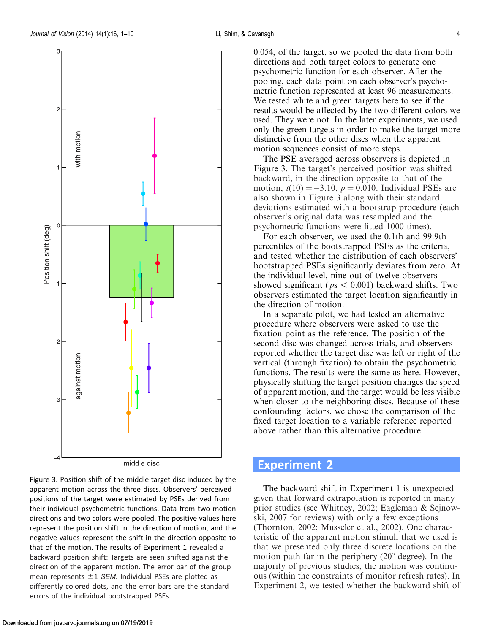<span id="page-4-0"></span>

Figure 3. Position shift of the middle target disc induced by the apparent motion across the three discs. Observers' perceived positions of the target were estimated by PSEs derived from their individual psychometric functions. Data from two motion directions and two colors were pooled. The positive values here represent the position shift in the direction of motion, and the negative values represent the shift in the direction opposite to that of the motion. The results of [Experiment 1](#page-2-0) revealed a backward position shift: Targets are seen shifted against the direction of the apparent motion. The error bar of the group mean represents  $\pm 1$  SEM. Individual PSEs are plotted as differently colored dots, and the error bars are the standard errors of the individual bootstrapped PSEs.

0.054, of the target, so we pooled the data from both directions and both target colors to generate one psychometric function for each observer. After the pooling, each data point on each observer's psychometric function represented at least 96 measurements. We tested white and green targets here to see if the results would be affected by the two different colors we used. They were not. In the later experiments, we used only the green targets in order to make the target more distinctive from the other discs when the apparent motion sequences consist of more steps.

The PSE averaged across observers is depicted in Figure 3. The target's perceived position was shifted backward, in the direction opposite to that of the motion,  $t(10) = -3.10$ ,  $p = 0.010$ . Individual PSEs are also shown in Figure 3 along with their standard deviations estimated with a bootstrap procedure (each observer's original data was resampled and the psychometric functions were fitted 1000 times).

For each observer, we used the 0.1th and 99.9th percentiles of the bootstrapped PSEs as the criteria, and tested whether the distribution of each observers' bootstrapped PSEs significantly deviates from zero. At the individual level, nine out of twelve observers showed significant ( $ps < 0.001$ ) backward shifts. Two observers estimated the target location significantly in the direction of motion.

In a separate pilot, we had tested an alternative procedure where observers were asked to use the fixation point as the reference. The position of the second disc was changed across trials, and observers reported whether the target disc was left or right of the vertical (through fixation) to obtain the psychometric functions. The results were the same as here. However, physically shifting the target position changes the speed of apparent motion, and the target would be less visible when closer to the neighboring discs. Because of these confounding factors, we chose the comparison of the fixed target location to a variable reference reported above rather than this alternative procedure.

### Experiment 2

The backward shift in [Experiment 1](#page-2-0) is unexpected given that forward extrapolation is reported in many prior studies (see Whitney, [2002;](#page-10-0) Eagleman & Sejnowski, [2007](#page-9-0) for reviews) with only a few exceptions (Thornton, [2002](#page-10-0); Müsseler et al., 2002). One characteristic of the apparent motion stimuli that we used is that we presented only three discrete locations on the motion path far in the periphery  $(20^{\circ}$  degree). In the majority of previous studies, the motion was continuous (within the constraints of monitor refresh rates). In Experiment 2, we tested whether the backward shift of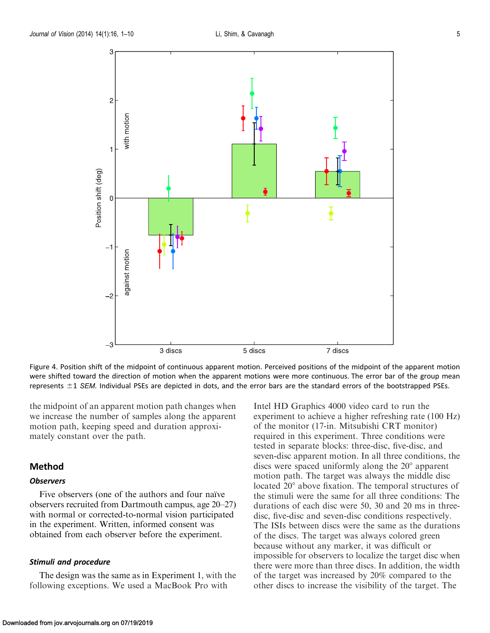<span id="page-5-0"></span>

Figure 4. Position shift of the midpoint of continuous apparent motion. Perceived positions of the midpoint of the apparent motion were shifted toward the direction of motion when the apparent motions were more continuous. The error bar of the group mean represents  $\pm 1$  SEM. Individual PSEs are depicted in dots, and the error bars are the standard errors of the bootstrapped PSEs.

the midpoint of an apparent motion path changes when we increase the number of samples along the apparent motion path, keeping speed and duration approximately constant over the path.

#### Method

#### **Observers**

Five observers (one of the authors and four naïve observers recruited from Dartmouth campus, age 20–27) with normal or corrected-to-normal vision participated in the experiment. Written, informed consent was obtained from each observer before the experiment.

#### Stimuli and procedure

The design was the same as in [Experiment 1,](#page-2-0) with the following exceptions. We used a MacBook Pro with

Intel HD Graphics 4000 video card to run the experiment to achieve a higher refreshing rate (100 Hz) of the monitor (17-in. Mitsubishi CRT monitor) required in this experiment. Three conditions were tested in separate blocks: three-disc, five-disc, and seven-disc apparent motion. In all three conditions, the discs were spaced uniformly along the  $20^{\circ}$  apparent motion path. The target was always the middle disc located 20<sup>°</sup> above fixation. The temporal structures of the stimuli were the same for all three conditions: The durations of each disc were 50, 30 and 20 ms in threedisc, five-disc and seven-disc conditions respectively. The ISIs between discs were the same as the durations of the discs. The target was always colored green because without any marker, it was difficult or impossible for observers to localize the target disc when there were more than three discs. In addition, the width of the target was increased by 20% compared to the other discs to increase the visibility of the target. The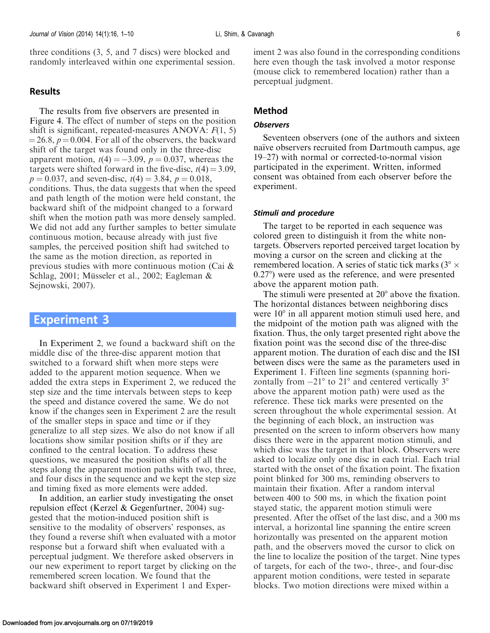<span id="page-6-0"></span>three conditions (3, 5, and 7 discs) were blocked and randomly interleaved within one experimental session.

#### Results

The results from five observers are presented in [Figure 4](#page-5-0). The effect of number of steps on the position shift is significant, repeated-measures ANOVA:  $F(1, 5)$  $=$  26.8,  $p = 0.004$ . For all of the observers, the backward shift of the target was found only in the three-disc apparent motion,  $t(4) = -3.09$ ,  $p = 0.037$ , whereas the targets were shifted forward in the five-disc,  $t(4) = 3.09$ ,  $p = 0.037$ , and seven-disc,  $t(4) = 3.84$ ,  $p = 0.018$ , conditions. Thus, the data suggests that when the speed and path length of the motion were held constant, the backward shift of the midpoint changed to a forward shift when the motion path was more densely sampled. We did not add any further samples to better simulate continuous motion, because already with just five samples, the perceived position shift had switched to the same as the motion direction, as reported in previous studies with more continuous motion (Cai & Schlag, [2001](#page-9-0); Müsseler et al., [2002](#page-10-0); Eagleman & Sejnowski, [2007](#page-9-0)).

### Experiment 3

In [Experiment 2](#page-4-0), we found a backward shift on the middle disc of the three-disc apparent motion that switched to a forward shift when more steps were added to the apparent motion sequence. When we added the extra steps in [Experiment 2](#page-4-0), we reduced the step size and the time intervals between steps to keep the speed and distance covered the same. We do not know if the changes seen in [Experiment 2](#page-4-0) are the result of the smaller steps in space and time or if they generalize to all step sizes. We also do not know if all locations show similar position shifts or if they are confined to the central location. To address these questions, we measured the position shifts of all the steps along the apparent motion paths with two, three, and four discs in the sequence and we kept the step size and timing fixed as more elements were added.

In addition, an earlier study investigating the onset repulsion effect (Kerzel & Gegenfurtner, [2004](#page-10-0)) suggested that the motion-induced position shift is sensitive to the modality of observers' responses, as they found a reverse shift when evaluated with a motor response but a forward shift when evaluated with a perceptual judgment. We therefore asked observers in our new experiment to report target by clicking on the remembered screen location. We found that the backward shift observed in [Experiment 1](#page-2-0) and [Exper-](#page-4-0) [iment 2](#page-4-0) was also found in the corresponding conditions here even though the task involved a motor response (mouse click to remembered location) rather than a perceptual judgment.

#### Method

#### **Observers**

Seventeen observers (one of the authors and sixteen naïve observers recruited from Dartmouth campus, age 19–27) with normal or corrected-to-normal vision participated in the experiment. Written, informed consent was obtained from each observer before the experiment.

#### Stimuli and procedure

The target to be reported in each sequence was colored green to distinguish it from the white nontargets. Observers reported perceived target location by moving a cursor on the screen and clicking at the remembered location. A series of static tick marks ( $3^\circ \times$  $0.27^{\circ}$ ) were used as the reference, and were presented above the apparent motion path.

The stimuli were presented at  $20^{\circ}$  above the fixation. The horizontal distances between neighboring discs were  $10^{\circ}$  in all apparent motion stimuli used here, and the midpoint of the motion path was aligned with the fixation. Thus, the only target presented right above the fixation point was the second disc of the three-disc apparent motion. The duration of each disc and the ISI between discs were the same as the parameters used in [Experiment 1](#page-2-0). Fifteen line segments (spanning horizontally from  $-21^{\circ}$  to  $21^{\circ}$  and centered vertically  $3^{\circ}$ above the apparent motion path) were used as the reference. These tick marks were presented on the screen throughout the whole experimental session. At the beginning of each block, an instruction was presented on the screen to inform observers how many discs there were in the apparent motion stimuli, and which disc was the target in that block. Observers were asked to localize only one disc in each trial. Each trial started with the onset of the fixation point. The fixation point blinked for 300 ms, reminding observers to maintain their fixation. After a random interval between 400 to 500 ms, in which the fixation point stayed static, the apparent motion stimuli were presented. After the offset of the last disc, and a 300 ms interval, a horizontal line spanning the entire screen horizontally was presented on the apparent motion path, and the observers moved the cursor to click on the line to localize the position of the target. Nine types of targets, for each of the two-, three-, and four-disc apparent motion conditions, were tested in separate blocks. Two motion directions were mixed within a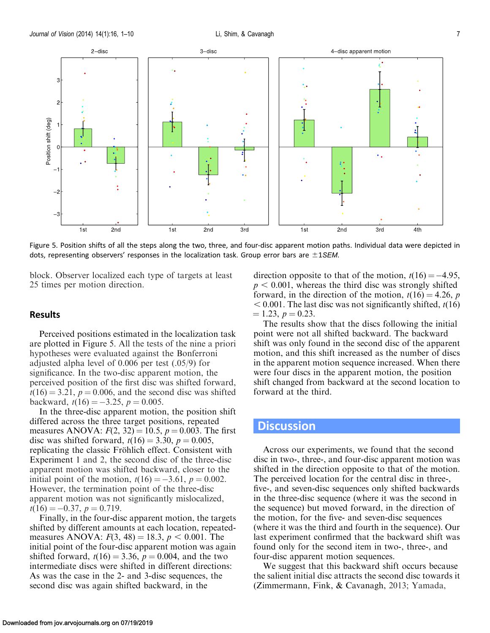<span id="page-7-0"></span>

Figure 5. Position shifts of all the steps along the two, three, and four-disc apparent motion paths. Individual data were depicted in dots, representing observers' responses in the localization task. Group error bars are  $\pm$ 1SEM.

block. Observer localized each type of targets at least 25 times per motion direction.

#### Results

Perceived positions estimated in the localization task are plotted in Figure 5. All the tests of the nine a priori hypotheses were evaluated against the Bonferroni adjusted alpha level of 0.006 per test (.05/9) for significance. In the two-disc apparent motion, the perceived position of the first disc was shifted forward,  $t(16) = 3.21$ ,  $p = 0.006$ , and the second disc was shifted backward,  $t(16) = -3.25$ ,  $p = 0.005$ .

In the three-disc apparent motion, the position shift differed across the three target positions, repeated measures ANOVA:  $F(2, 32) = 10.5$ ,  $p = 0.003$ . The first disc was shifted forward,  $t(16) = 3.30, p = 0.005,$ replicating the classic Fröhlich effect. Consistent with [Experiment 1](#page-2-0) and [2,](#page-4-0) the second disc of the three-disc apparent motion was shifted backward, closer to the initial point of the motion,  $t(16) = -3.61$ ,  $p = 0.002$ . However, the termination point of the three-disc apparent motion was not significantly mislocalized,  $t(16) = -0.37, p = 0.719.$ 

Finally, in the four-disc apparent motion, the targets shifted by different amounts at each location, repeatedmeasures ANOVA:  $F(3, 48) = 18.3$ ,  $p < 0.001$ . The initial point of the four-disc apparent motion was again shifted forward,  $t(16) = 3.36$ ,  $p = 0.004$ , and the two intermediate discs were shifted in different directions: As was the case in the 2- and 3-disc sequences, the second disc was again shifted backward, in the

direction opposite to that of the motion,  $t(16) = -4.95$ ,  $p < 0.001$ , whereas the third disc was strongly shifted forward, in the direction of the motion,  $t(16) = 4.26$ , p  $< 0.001$ . The last disc was not significantly shifted,  $t(16)$  $= 1.23, p = 0.23.$ 

The results show that the discs following the initial point were not all shifted backward. The backward shift was only found in the second disc of the apparent motion, and this shift increased as the number of discs in the apparent motion sequence increased. When there were four discs in the apparent motion, the position shift changed from backward at the second location to forward at the third.

### **Discussion**

Across our experiments, we found that the second disc in two-, three-, and four-disc apparent motion was shifted in the direction opposite to that of the motion. The perceived location for the central disc in three-, five-, and seven-disc sequences only shifted backwards in the three-disc sequence (where it was the second in the sequence) but moved forward, in the direction of the motion, for the five- and seven-disc sequences (where it was the third and fourth in the sequence). Our last experiment confirmed that the backward shift was found only for the second item in two-, three-, and four-disc apparent motion sequences.

We suggest that this backward shift occurs because the salient initial disc attracts the second disc towards it (Zimmermann, Fink, & Cavanagh, [2013;](#page-10-0) Yamada,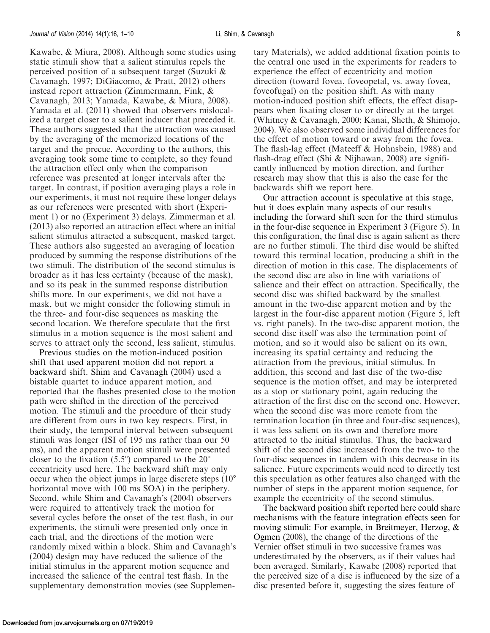Kawabe, & Miura, [2008\)](#page-9-0). Although some studies using static stimuli show that a salient stimulus repels the perceived position of a subsequent target (Suzuki & Cavanagh, [1997;](#page-10-0) DiGiacomo, & Pratt, [2012\)](#page-9-0) others instead report attraction (Zimmermann, Fink, & Cavanagh, [2013;](#page-10-0) Yamada, Kawabe, & Miura, [2008](#page-9-0)). Yamada et al. [\(2011](#page-10-0)) showed that observers mislocalized a target closer to a salient inducer that preceded it. These authors suggested that the attraction was caused by the averaging of the memorized locations of the target and the precue. According to the authors, this averaging took some time to complete, so they found the attraction effect only when the comparison reference was presented at longer intervals after the target. In contrast, if position averaging plays a role in our experiments, it must not require these longer delays as our references were presented with short [\(Experi](#page-2-0)[ment 1\)](#page-2-0) or no [\(Experiment 3](#page-6-0)) delays. Zimmerman et al. ([2013\)](#page-10-0) also reported an attraction effect where an initial salient stimulus attracted a subsequent, masked target. These authors also suggested an averaging of location produced by summing the response distributions of the two stimuli. The distribution of the second stimulus is broader as it has less certainty (because of the mask), and so its peak in the summed response distribution shifts more. In our experiments, we did not have a mask, but we might consider the following stimuli in the three- and four-disc sequences as masking the second location. We therefore speculate that the first stimulus in a motion sequence is the most salient and serves to attract only the second, less salient, stimulus.

Previous studies on the motion-induced position shift that used apparent motion did not report a backward shift. Shim and Cavanagh [\(2004](#page-10-0)) used a bistable quartet to induce apparent motion, and reported that the flashes presented close to the motion path were shifted in the direction of the perceived motion. The stimuli and the procedure of their study are different from ours in two key respects. First, in their study, the temporal interval between subsequent stimuli was longer (ISI of 195 ms rather than our 50 ms), and the apparent motion stimuli were presented closer to the fixation  $(5.5^{\circ})$  compared to the  $20^{\circ}$ eccentricity used here. The backward shift may only occur when the object jumps in large discrete steps  $(10^{\circ}$ horizontal move with 100 ms SOA) in the periphery. Second, while Shim and Cavanagh's [\(2004](#page-10-0)) observers were required to attentively track the motion for several cycles before the onset of the test flash, in our experiments, the stimuli were presented only once in each trial, and the directions of the motion were randomly mixed within a block. Shim and Cavanagh's ([2004\)](#page-10-0) design may have reduced the salience of the initial stimulus in the apparent motion sequence and increased the salience of the central test flash. In the supplementary demonstration movies (see Supplementary Materials), we added additional fixation points to the central one used in the experiments for readers to experience the effect of eccentricity and motion direction (toward fovea, foveopetal, vs. away fovea, foveofugal) on the position shift. As with many motion-induced position shift effects, the effect disappears when fixating closer to or directly at the target (Whitney & Cavanagh, [2000](#page-10-0); Kanai, Sheth, & Shimojo, [2004\)](#page-9-0). We also observed some individual differences for the effect of motion toward or away from the fovea. The flash-lag effect (Mateeff & Hohnsbein, [1988\)](#page-10-0) and flash-drag effect (Shi & Nijhawan, [2008\)](#page-10-0) are significantly influenced by motion direction, and further research may show that this is also the case for the backwards shift we report here.

Our attraction account is speculative at this stage, but it does explain many aspects of our results including the forward shift seen for the third stimulus in the four-disc sequence in [Experiment 3](#page-6-0) [\(Figure 5](#page-7-0)). In this configuration, the final disc is again salient as there are no further stimuli. The third disc would be shifted toward this terminal location, producing a shift in the direction of motion in this case. The displacements of the second disc are also in line with variations of salience and their effect on attraction. Specifically, the second disc was shifted backward by the smallest amount in the two-disc apparent motion and by the largest in the four-disc apparent motion ([Figure 5](#page-7-0), left vs. right panels). In the two-disc apparent motion, the second disc itself was also the termination point of motion, and so it would also be salient on its own, increasing its spatial certainty and reducing the attraction from the previous, initial stimulus. In addition, this second and last disc of the two-disc sequence is the motion offset, and may be interpreted as a stop or stationary point, again reducing the attraction of the first disc on the second one. However, when the second disc was more remote from the termination location (in three and four-disc sequences), it was less salient on its own and therefore more attracted to the initial stimulus. Thus, the backward shift of the second disc increased from the two- to the four-disc sequences in tandem with this decrease in its salience. Future experiments would need to directly test this speculation as other features also changed with the number of steps in the apparent motion sequence, for example the eccentricity of the second stimulus.

The backward position shift reported here could share mechanisms with the feature integration effects seen for moving stimuli: For example, in Breitmeyer, Herzog, & Ogmen [\(2008\)](#page-9-0), the change of the directions of the Vernier offset stimuli in two successive frames was underestimated by the observers, as if their values had been averaged. Similarly, Kawabe [\(2008\)](#page-9-0) reported that the perceived size of a disc is influenced by the size of a disc presented before it, suggesting the sizes feature of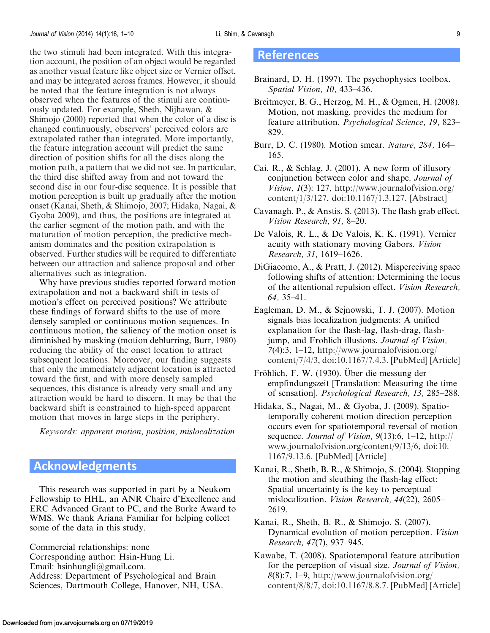<span id="page-9-0"></span>the two stimuli had been integrated. With this integration account, the position of an object would be regarded as another visual feature like object size or Vernier offset, and may be integrated across frames. However, it should be noted that the feature integration is not always observed when the features of the stimuli are continuously updated. For example, Sheth, Nijhawan, & Shimojo [\(2000\)](#page-10-0) reported that when the color of a disc is changed continuously, observers' perceived colors are extrapolated rather than integrated. More importantly, the feature integration account will predict the same direction of position shifts for all the discs along the motion path, a pattern that we did not see. In particular, the third disc shifted away from and not toward the second disc in our four-disc sequence. It is possible that motion perception is built up gradually after the motion onset (Kanai, Sheth, & Shimojo, 2007; Hidaka, Nagai, & Gyoba 2009), and thus, the positions are integrated at the earlier segment of the motion path, and with the maturation of motion perception, the predictive mechanism dominates and the position extrapolation is observed. Further studies will be required to differentiate between our attraction and salience proposal and other alternatives such as integration.

Why have previous studies reported forward motion extrapolation and not a backward shift in tests of motion's effect on perceived positions? We attribute these findings of forward shifts to the use of more densely sampled or continuous motion sequences. In continuous motion, the saliency of the motion onset is diminished by masking (motion deblurring, Burr, 1980) reducing the ability of the onset location to attract subsequent locations. Moreover, our finding suggests that only the immediately adjacent location is attracted toward the first, and with more densely sampled sequences, this distance is already very small and any attraction would be hard to discern. It may be that the backward shift is constrained to high-speed apparent motion that moves in large steps in the periphery.

Keywords: apparent motion, position, mislocalization

# Acknowledgments

This research was supported in part by a Neukom Fellowship to HHL, an ANR Chaire d'Excellence and ERC Advanced Grant to PC, and the Burke Award to WMS. We thank Ariana Familiar for helping collect some of the data in this study.

Commercial relationships: none Corresponding author: Hsin-Hung Li. Email: hsinhungli@gmail.com. Address: Department of Psychological and Brain Sciences, Dartmouth College, Hanover, NH, USA.

#### References

- Brainard, D. H. (1997). The psychophysics toolbox. Spatial Vision, 10, 433–436.
- Breitmeyer, B. G., Herzog, M. H., & Ogmen, H. (2008). Motion, not masking, provides the medium for feature attribution. Psychological Science, 19, 823– 829.
- Burr, D. C. (1980). Motion smear. Nature, 284, 164– 165.
- Cai, R., & Schlag, J. (2001). A new form of illusory conjunction between color and shape. Journal of Vision, 1(3): 127, [http://www.journalofvision.org/](http://www.journalofvision.org/content/1/3/127) [content/1/3/127](http://www.journalofvision.org/content/1/3/127), doi:10.1167/1.3.127. [\[Abstract\]](http://www.journalofvision.org/content/1/3/127)
- Cavanagh, P., & Anstis, S. (2013). The flash grab effect. Vision Research, 91, 8–20.
- De Valois, R. L., & De Valois, K. K. (1991). Vernier acuity with stationary moving Gabors. Vision Research, 31, 1619–1626.
- DiGiacomo, A., & Pratt, J. (2012). Misperceiving space following shifts of attention: Determining the locus of the attentional repulsion effect. Vision Research, 64, 35–41.
- Eagleman, D. M., & Sejnowski, T. J. (2007). Motion signals bias localization judgments: A unified explanation for the flash-lag, flash-drag, flashjump, and Frohlich illusions. Journal of Vision, 7(4):3, 1–12, [http://www.journalofvision.org/](http://www.journalofvision.org/content/7/4/3) [content/7/4/3](http://www.journalofvision.org/content/7/4/3), doi:10.1167/7.4.3. [\[PubMed\]](http://www.ncbi.nlm.nih.gov/pubmed/17461687) [\[Article](http://www.journalofvision.org/content/7/4/3.long)]
- Fröhlich, F. W. (1930). Über die messung der empfindungszeit [Translation: Measuring the time of sensation]. Psychological Research, 13, 285–288.
- Hidaka, S., Nagai, M., & Gyoba, J. (2009). Spatiotemporally coherent motion direction perception occurs even for spatiotemporal reversal of motion sequence. Journal of Vision,  $9(13):6$ , 1–12, [http://](http://www.journalofvision.org/content/9/13/6) [www.journalofvision.org/content/9/13/6,](http://www.journalofvision.org/content/9/13/6) doi:10. 1167/9.13.6. [[PubMed](http://www.ncbi.nlm.nih.gov/pubmed/20055539)] [[Article\]](http://www.journalofvision.org/content/9/13/6.long)
- Kanai, R., Sheth, B. R., & Shimojo, S. (2004). Stopping the motion and sleuthing the flash-lag effect: Spatial uncertainty is the key to perceptual mislocalization. Vision Research, 44(22), 2605– 2619.
- Kanai, R., Sheth, B. R., & Shimojo, S. (2007). Dynamical evolution of motion perception. Vision Research, 47(7), 937–945.
- Kawabe, T. (2008). Spatiotemporal feature attribution for the perception of visual size. Journal of Vision, 8(8):7, 1–9, [http://www.journalofvision.org/](http://www.journalofvision.org/content/8/8/7) [content/8/8/7](http://www.journalofvision.org/content/8/8/7), doi:10.1167/8.8.7. [\[PubMed\]](http://www.ncbi.nlm.nih.gov/pubmed/18831630) [\[Article](http://www.journalofvision.org/content/8/8/7.long)]